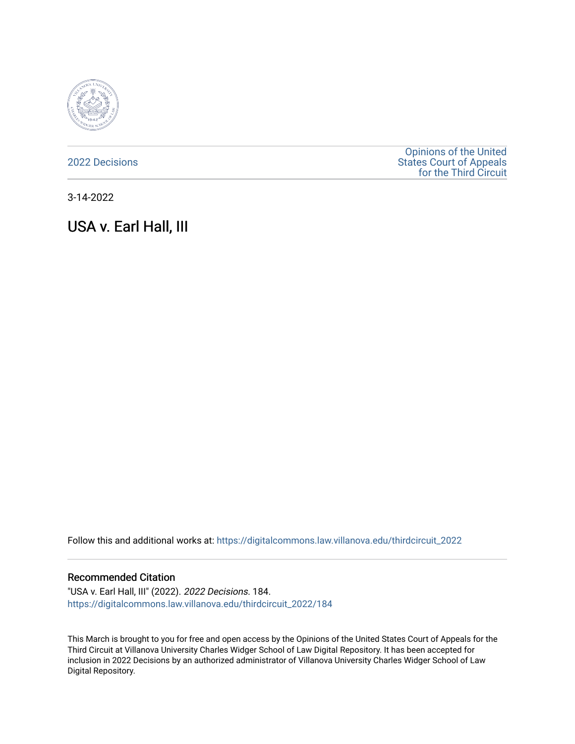

[2022 Decisions](https://digitalcommons.law.villanova.edu/thirdcircuit_2022)

[Opinions of the United](https://digitalcommons.law.villanova.edu/thirdcircuit)  [States Court of Appeals](https://digitalcommons.law.villanova.edu/thirdcircuit)  [for the Third Circuit](https://digitalcommons.law.villanova.edu/thirdcircuit) 

3-14-2022

# USA v. Earl Hall, III

Follow this and additional works at: [https://digitalcommons.law.villanova.edu/thirdcircuit\\_2022](https://digitalcommons.law.villanova.edu/thirdcircuit_2022?utm_source=digitalcommons.law.villanova.edu%2Fthirdcircuit_2022%2F184&utm_medium=PDF&utm_campaign=PDFCoverPages) 

## Recommended Citation

"USA v. Earl Hall, III" (2022). 2022 Decisions. 184. [https://digitalcommons.law.villanova.edu/thirdcircuit\\_2022/184](https://digitalcommons.law.villanova.edu/thirdcircuit_2022/184?utm_source=digitalcommons.law.villanova.edu%2Fthirdcircuit_2022%2F184&utm_medium=PDF&utm_campaign=PDFCoverPages)

This March is brought to you for free and open access by the Opinions of the United States Court of Appeals for the Third Circuit at Villanova University Charles Widger School of Law Digital Repository. It has been accepted for inclusion in 2022 Decisions by an authorized administrator of Villanova University Charles Widger School of Law Digital Repository.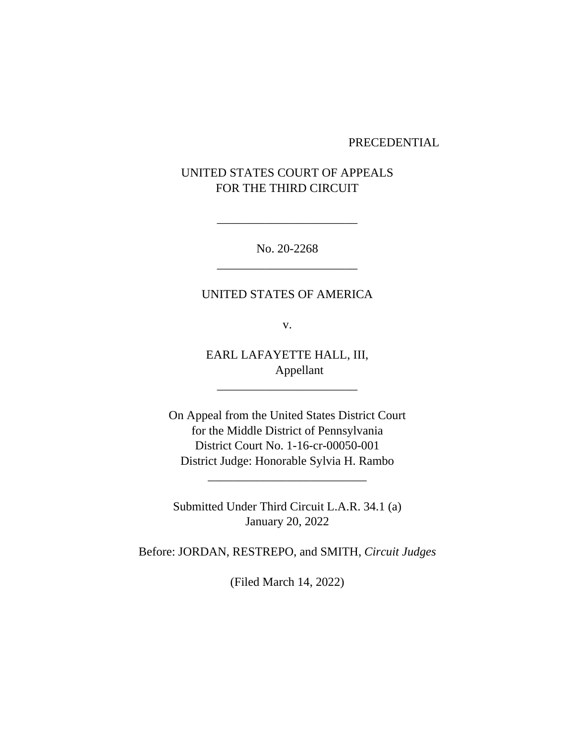#### PRECEDENTIAL

# UNITED STATES COURT OF APPEALS FOR THE THIRD CIRCUIT

No. 20-2268 \_\_\_\_\_\_\_\_\_\_\_\_\_\_\_\_\_\_\_\_\_\_\_

\_\_\_\_\_\_\_\_\_\_\_\_\_\_\_\_\_\_\_\_\_\_\_

# UNITED STATES OF AMERICA

v.

EARL LAFAYETTE HALL, III, Appellant

\_\_\_\_\_\_\_\_\_\_\_\_\_\_\_\_\_\_\_\_\_\_\_

On Appeal from the United States District Court for the Middle District of Pennsylvania District Court No. 1-16-cr-00050-001 District Judge: Honorable Sylvia H. Rambo

Submitted Under Third Circuit L.A.R. 34.1 (a) January 20, 2022

\_\_\_\_\_\_\_\_\_\_\_\_\_\_\_\_\_\_\_\_\_\_\_\_\_\_

Before: JORDAN, RESTREPO, and SMITH, *Circuit Judges*

(Filed March 14, 2022)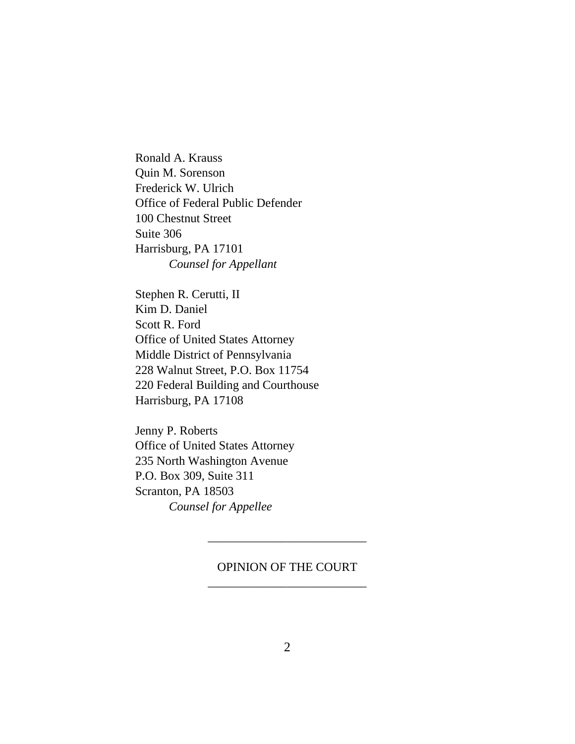Ronald A. Krauss Quin M. Sorenson Frederick W. Ulrich Office of Federal Public Defender 100 Chestnut Street Suite 306 Harrisburg, PA 17101 *Counsel for Appellant*

Stephen R. Cerutti, II Kim D. Daniel Scott R. Ford Office of United States Attorney Middle District of Pennsylvania 228 Walnut Street, P.O. Box 11754 220 Federal Building and Courthouse Harrisburg, PA 17108

Jenny P. Roberts Office of United States Attorney 235 North Washington Avenue P.O. Box 309, Suite 311 Scranton, PA 18503 *Counsel for Appellee*

# OPINION OF THE COURT \_\_\_\_\_\_\_\_\_\_\_\_\_\_\_\_\_\_\_\_\_\_\_\_\_\_

\_\_\_\_\_\_\_\_\_\_\_\_\_\_\_\_\_\_\_\_\_\_\_\_\_\_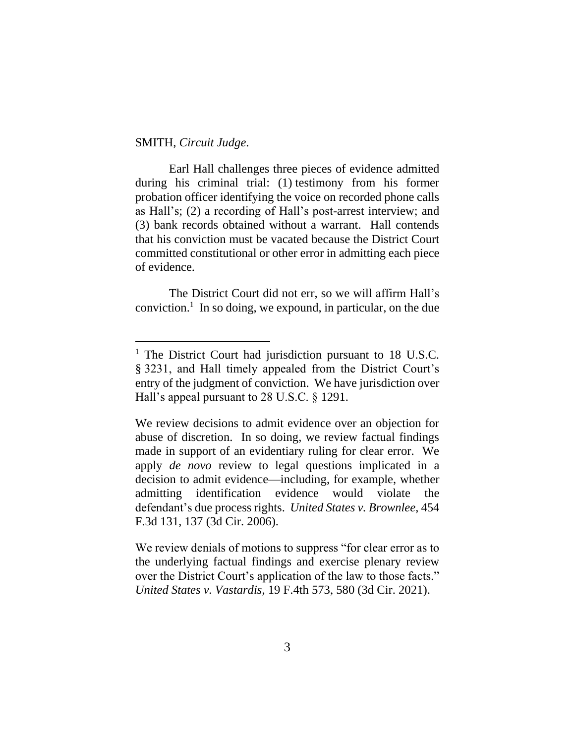## SMITH, *Circuit Judge*.

Earl Hall challenges three pieces of evidence admitted during his criminal trial: (1) testimony from his former probation officer identifying the voice on recorded phone calls as Hall's; (2) a recording of Hall's post-arrest interview; and (3) bank records obtained without a warrant. Hall contends that his conviction must be vacated because the District Court committed constitutional or other error in admitting each piece of evidence.

The District Court did not err, so we will affirm Hall's conviction.<sup>1</sup> In so doing, we expound, in particular, on the due

We review denials of motions to suppress "for clear error as to the underlying factual findings and exercise plenary review over the District Court's application of the law to those facts." *United States v. Vastardis*, 19 F.4th 573, 580 (3d Cir. 2021).

<sup>&</sup>lt;sup>1</sup> The District Court had jurisdiction pursuant to 18 U.S.C. § 3231, and Hall timely appealed from the District Court's entry of the judgment of conviction. We have jurisdiction over Hall's appeal pursuant to 28 U.S.C. § 1291.

We review decisions to admit evidence over an objection for abuse of discretion. In so doing, we review factual findings made in support of an evidentiary ruling for clear error. We apply *de novo* review to legal questions implicated in a decision to admit evidence—including, for example, whether admitting identification evidence would violate the defendant's due process rights. *United States v. Brownlee*, 454 F.3d 131, 137 (3d Cir. 2006).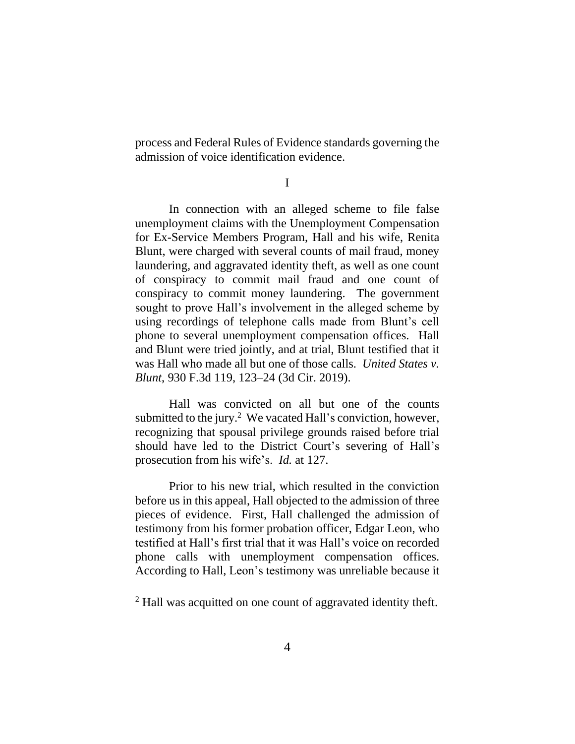process and Federal Rules of Evidence standards governing the admission of voice identification evidence.

I

In connection with an alleged scheme to file false unemployment claims with the Unemployment Compensation for Ex-Service Members Program, Hall and his wife, Renita Blunt, were charged with several counts of mail fraud, money laundering, and aggravated identity theft, as well as one count of conspiracy to commit mail fraud and one count of conspiracy to commit money laundering. The government sought to prove Hall's involvement in the alleged scheme by using recordings of telephone calls made from Blunt's cell phone to several unemployment compensation offices. Hall and Blunt were tried jointly, and at trial, Blunt testified that it was Hall who made all but one of those calls. *United States v. Blunt*, 930 F.3d 119, 123–24 (3d Cir. 2019).

Hall was convicted on all but one of the counts submitted to the jury.<sup>2</sup> We vacated Hall's conviction, however, recognizing that spousal privilege grounds raised before trial should have led to the District Court's severing of Hall's prosecution from his wife's. *Id.* at 127.

Prior to his new trial, which resulted in the conviction before us in this appeal, Hall objected to the admission of three pieces of evidence. First, Hall challenged the admission of testimony from his former probation officer, Edgar Leon, who testified at Hall's first trial that it was Hall's voice on recorded phone calls with unemployment compensation offices. According to Hall, Leon's testimony was unreliable because it

<sup>&</sup>lt;sup>2</sup> Hall was acquitted on one count of aggravated identity theft.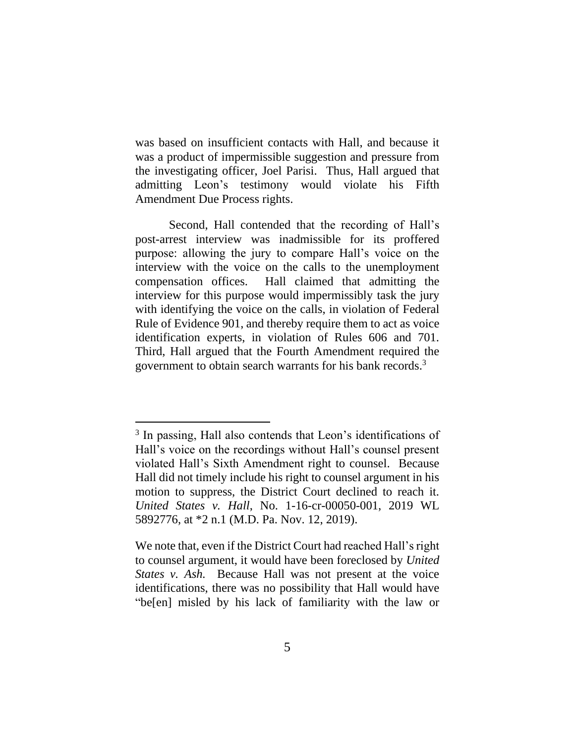was based on insufficient contacts with Hall, and because it was a product of impermissible suggestion and pressure from the investigating officer, Joel Parisi. Thus, Hall argued that admitting Leon's testimony would violate his Fifth Amendment Due Process rights.

Second, Hall contended that the recording of Hall's post-arrest interview was inadmissible for its proffered purpose: allowing the jury to compare Hall's voice on the interview with the voice on the calls to the unemployment compensation offices. Hall claimed that admitting the interview for this purpose would impermissibly task the jury with identifying the voice on the calls, in violation of Federal Rule of Evidence 901, and thereby require them to act as voice identification experts, in violation of Rules 606 and 701. Third, Hall argued that the Fourth Amendment required the government to obtain search warrants for his bank records. 3

<sup>&</sup>lt;sup>3</sup> In passing, Hall also contends that Leon's identifications of Hall's voice on the recordings without Hall's counsel present violated Hall's Sixth Amendment right to counsel. Because Hall did not timely include his right to counsel argument in his motion to suppress, the District Court declined to reach it. *United States v. Hall*, No. 1-16-cr-00050-001, 2019 WL 5892776, at \*2 n.1 (M.D. Pa. Nov. 12, 2019).

We note that, even if the District Court had reached Hall's right to counsel argument, it would have been foreclosed by *United States v. Ash.* Because Hall was not present at the voice identifications, there was no possibility that Hall would have "be[en] misled by his lack of familiarity with the law or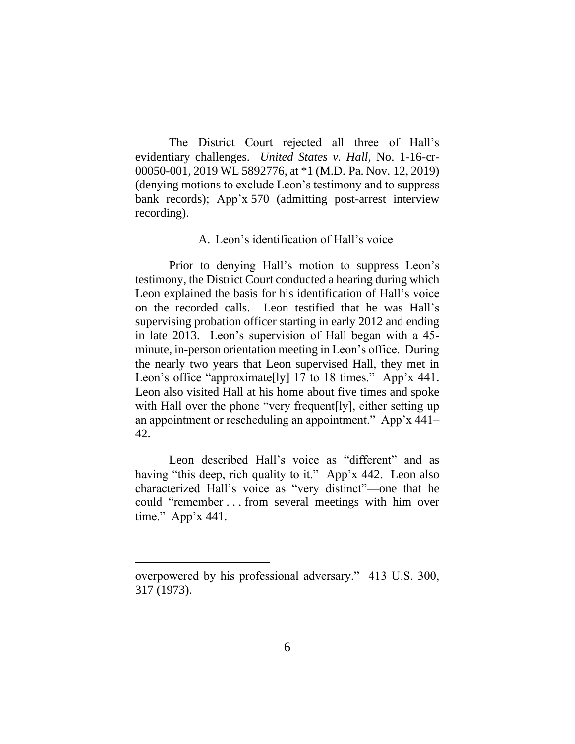The District Court rejected all three of Hall's evidentiary challenges. *United States v. Hall*, No. 1-16-cr-00050-001, 2019 WL 5892776, at \*1 (M.D. Pa. Nov. 12, 2019) (denying motions to exclude Leon's testimony and to suppress bank records); App'x 570 (admitting post-arrest interview recording).

## A. Leon's identification of Hall's voice

Prior to denying Hall's motion to suppress Leon's testimony, the District Court conducted a hearing during which Leon explained the basis for his identification of Hall's voice on the recorded calls. Leon testified that he was Hall's supervising probation officer starting in early 2012 and ending in late 2013. Leon's supervision of Hall began with a 45 minute, in-person orientation meeting in Leon's office. During the nearly two years that Leon supervised Hall, they met in Leon's office "approximate<sup>[ly]</sup> 17 to 18 times." App'x 441. Leon also visited Hall at his home about five times and spoke with Hall over the phone "very frequent [ly], either setting up an appointment or rescheduling an appointment." App'x 441– 42.

Leon described Hall's voice as "different" and as having "this deep, rich quality to it." App'x 442.Leon also characterized Hall's voice as "very distinct"—one that he could "remember . . . from several meetings with him over time." App'x 441.

overpowered by his professional adversary." 413 U.S. 300, 317 (1973).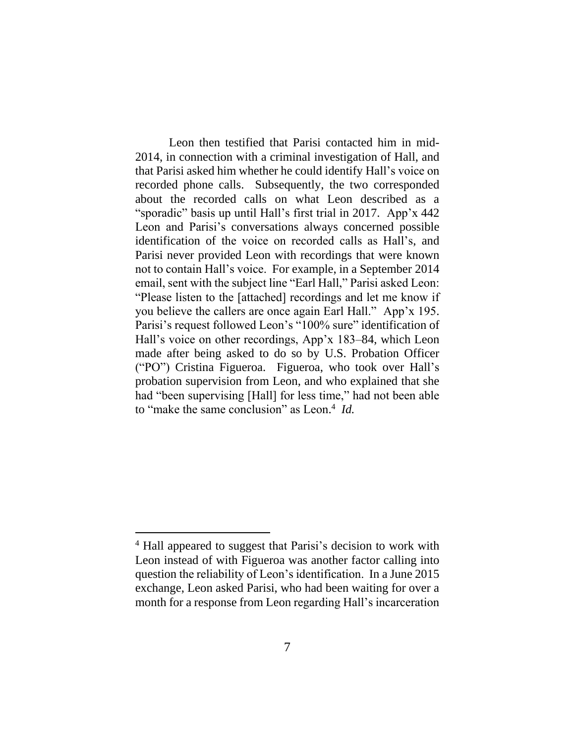Leon then testified that Parisi contacted him in mid-2014, in connection with a criminal investigation of Hall, and that Parisi asked him whether he could identify Hall's voice on recorded phone calls. Subsequently, the two corresponded about the recorded calls on what Leon described as a "sporadic" basis up until Hall's first trial in 2017. App'x 442 Leon and Parisi's conversations always concerned possible identification of the voice on recorded calls as Hall's, and Parisi never provided Leon with recordings that were known not to contain Hall's voice. For example, in a September 2014 email, sent with the subject line "Earl Hall," Parisi asked Leon: "Please listen to the [attached] recordings and let me know if you believe the callers are once again Earl Hall." App'x 195. Parisi's request followed Leon's "100% sure" identification of Hall's voice on other recordings, App'x 183–84, which Leon made after being asked to do so by U.S. Probation Officer ("PO") Cristina Figueroa. Figueroa, who took over Hall's probation supervision from Leon, and who explained that she had "been supervising [Hall] for less time," had not been able to "make the same conclusion" as Leon. 4 *Id.*

<sup>&</sup>lt;sup>4</sup> Hall appeared to suggest that Parisi's decision to work with Leon instead of with Figueroa was another factor calling into question the reliability of Leon's identification. In a June 2015 exchange, Leon asked Parisi, who had been waiting for over a month for a response from Leon regarding Hall's incarceration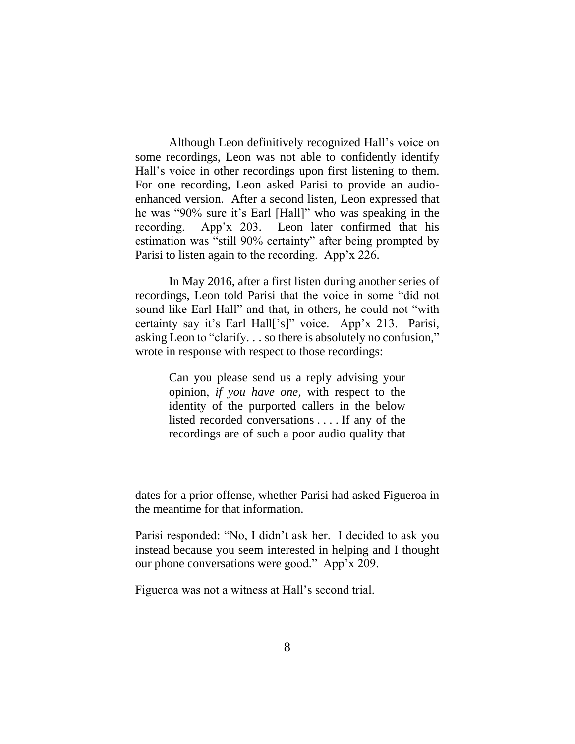Although Leon definitively recognized Hall's voice on some recordings, Leon was not able to confidently identify Hall's voice in other recordings upon first listening to them. For one recording, Leon asked Parisi to provide an audioenhanced version. After a second listen, Leon expressed that he was "90% sure it's Earl [Hall]" who was speaking in the recording. App'x 203.Leon later confirmed that his estimation was "still 90% certainty" after being prompted by Parisi to listen again to the recording. App'x 226.

In May 2016, after a first listen during another series of recordings, Leon told Parisi that the voice in some "did not sound like Earl Hall" and that, in others, he could not "with certainty say it's Earl Hall['s]" voice. App'x 213. Parisi, asking Leon to "clarify. . . so there is absolutely no confusion," wrote in response with respect to those recordings:

> Can you please send us a reply advising your opinion, *if you have one*, with respect to the identity of the purported callers in the below listed recorded conversations . . . . If any of the recordings are of such a poor audio quality that

Figueroa was not a witness at Hall's second trial.

dates for a prior offense, whether Parisi had asked Figueroa in the meantime for that information.

Parisi responded: "No, I didn't ask her. I decided to ask you instead because you seem interested in helping and I thought our phone conversations were good." App'x 209.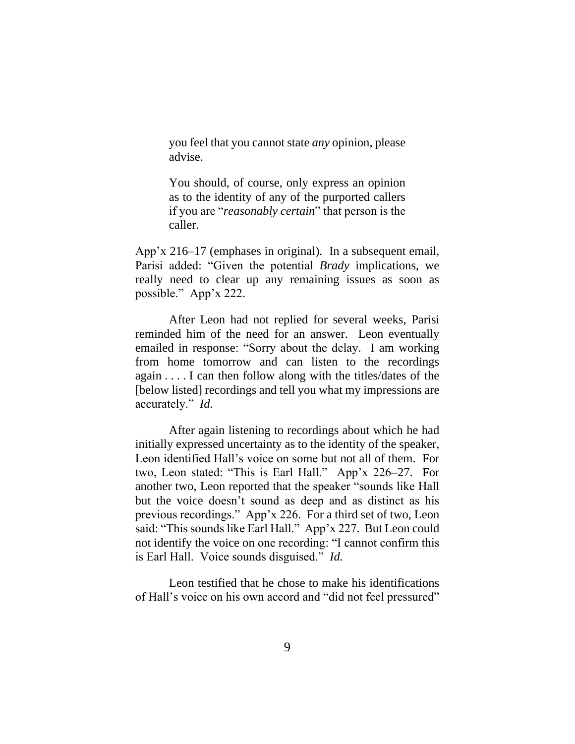you feel that you cannot state *any* opinion, please advise.

You should, of course, only express an opinion as to the identity of any of the purported callers if you are "*reasonably certain*" that person is the caller.

App'x 216–17 (emphases in original). In a subsequent email, Parisi added: "Given the potential *Brady* implications, we really need to clear up any remaining issues as soon as possible." App'x 222.

After Leon had not replied for several weeks, Parisi reminded him of the need for an answer. Leon eventually emailed in response: "Sorry about the delay. I am working from home tomorrow and can listen to the recordings again . . . . I can then follow along with the titles/dates of the [below listed] recordings and tell you what my impressions are accurately." *Id.* 

After again listening to recordings about which he had initially expressed uncertainty as to the identity of the speaker, Leon identified Hall's voice on some but not all of them. For two, Leon stated: "This is Earl Hall." App'x 226–27.For another two, Leon reported that the speaker "sounds like Hall but the voice doesn't sound as deep and as distinct as his previous recordings." App'x 226.For a third set of two, Leon said: "This sounds like Earl Hall." App'x 227.But Leon could not identify the voice on one recording: "I cannot confirm this is Earl Hall. Voice sounds disguised." *Id.* 

Leon testified that he chose to make his identifications of Hall's voice on his own accord and "did not feel pressured"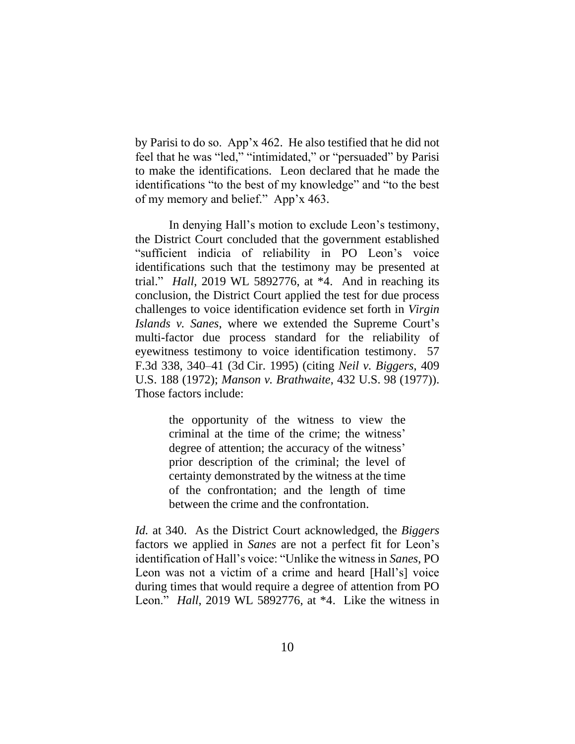by Parisi to do so. App'x 462. He also testified that he did not feel that he was "led," "intimidated," or "persuaded" by Parisi to make the identifications. Leon declared that he made the identifications "to the best of my knowledge" and "to the best of my memory and belief." App'x 463.

In denying Hall's motion to exclude Leon's testimony, the District Court concluded that the government established "sufficient indicia of reliability in PO Leon's voice identifications such that the testimony may be presented at trial." *Hall*, 2019 WL 5892776, at \*4. And in reaching its conclusion, the District Court applied the test for due process challenges to voice identification evidence set forth in *Virgin Islands v. Sanes*, where we extended the Supreme Court's multi-factor due process standard for the reliability of eyewitness testimony to voice identification testimony. 57 F.3d 338, 340–41 (3d Cir. 1995) (citing *Neil v. Biggers*, 409 U.S. 188 (1972); *Manson v. Brathwaite*, 432 U.S. 98 (1977)). Those factors include:

> the opportunity of the witness to view the criminal at the time of the crime; the witness' degree of attention; the accuracy of the witness' prior description of the criminal; the level of certainty demonstrated by the witness at the time of the confrontation; and the length of time between the crime and the confrontation.

*Id.* at 340. As the District Court acknowledged, the *Biggers* factors we applied in *Sanes* are not a perfect fit for Leon's identification of Hall's voice: "Unlike the witness in *Sanes*, PO Leon was not a victim of a crime and heard [Hall's] voice during times that would require a degree of attention from PO Leon." *Hall*, 2019 WL 5892776, at \*4. Like the witness in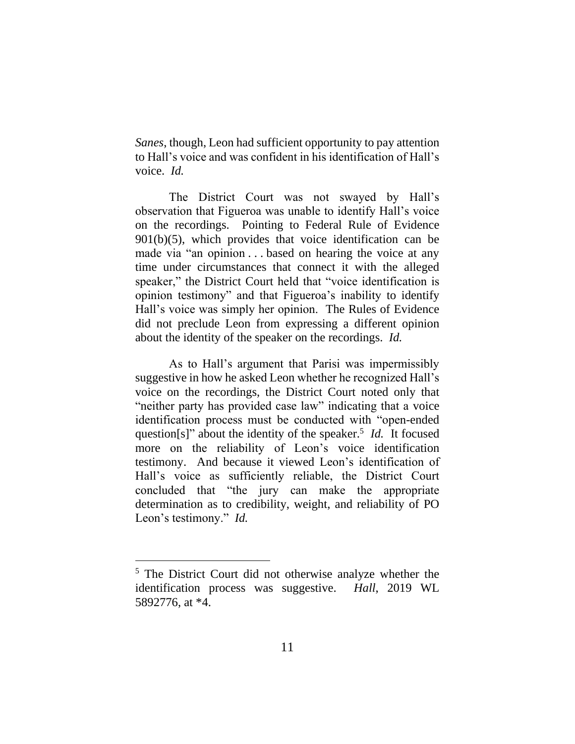*Sanes*, though, Leon had sufficient opportunity to pay attention to Hall's voice and was confident in his identification of Hall's voice. *Id.*

The District Court was not swayed by Hall's observation that Figueroa was unable to identify Hall's voice on the recordings. Pointing to Federal Rule of Evidence 901(b)(5), which provides that voice identification can be made via "an opinion . . . based on hearing the voice at any time under circumstances that connect it with the alleged speaker," the District Court held that "voice identification is opinion testimony" and that Figueroa's inability to identify Hall's voice was simply her opinion. The Rules of Evidence did not preclude Leon from expressing a different opinion about the identity of the speaker on the recordings. *Id.*

As to Hall's argument that Parisi was impermissibly suggestive in how he asked Leon whether he recognized Hall's voice on the recordings, the District Court noted only that "neither party has provided case law" indicating that a voice identification process must be conducted with "open-ended question[s]" about the identity of the speaker.<sup>5</sup> *Id.* It focused more on the reliability of Leon's voice identification testimony. And because it viewed Leon's identification of Hall's voice as sufficiently reliable, the District Court concluded that "the jury can make the appropriate determination as to credibility, weight, and reliability of PO Leon's testimony." *Id.* 

<sup>5</sup> The District Court did not otherwise analyze whether the identification process was suggestive. *Hall*, 2019 WL 5892776, at \*4.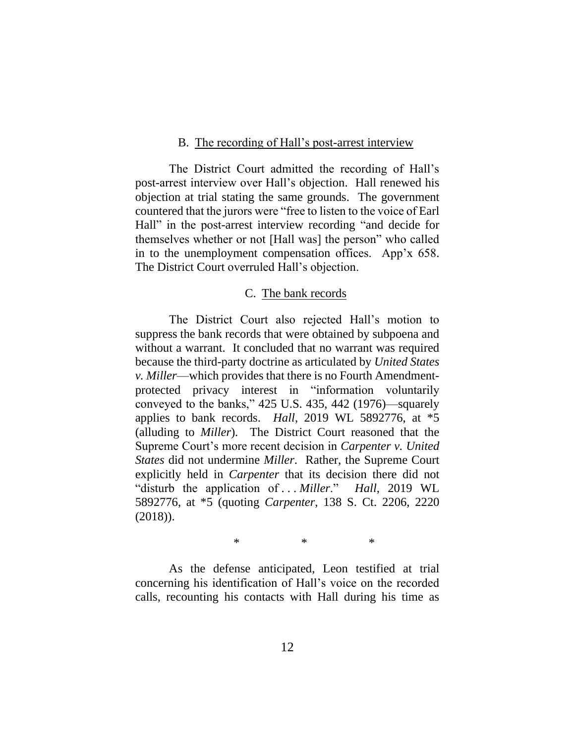#### B. The recording of Hall's post-arrest interview

The District Court admitted the recording of Hall's post-arrest interview over Hall's objection. Hall renewed his objection at trial stating the same grounds. The government countered that the jurors were "free to listen to the voice of Earl Hall" in the post-arrest interview recording "and decide for themselves whether or not [Hall was] the person" who called in to the unemployment compensation offices. App'x 658. The District Court overruled Hall's objection.

#### C. The bank records

The District Court also rejected Hall's motion to suppress the bank records that were obtained by subpoena and without a warrant. It concluded that no warrant was required because the third-party doctrine as articulated by *United States v. Miller*—which provides that there is no Fourth Amendmentprotected privacy interest in "information voluntarily conveyed to the banks," 425 U.S. 435, 442 (1976)—squarely applies to bank records. *Hall*, 2019 WL 5892776, at \*5 (alluding to *Miller*). The District Court reasoned that the Supreme Court's more recent decision in *Carpenter v. United States* did not undermine *Miller*. Rather, the Supreme Court explicitly held in *Carpenter* that its decision there did not "disturb the application of . . . *Miller*." *Hall*, 2019 WL 5892776, at \*5 (quoting *Carpenter*, 138 S. Ct. 2206, 2220 (2018)).

\* \* \*

As the defense anticipated, Leon testified at trial concerning his identification of Hall's voice on the recorded calls, recounting his contacts with Hall during his time as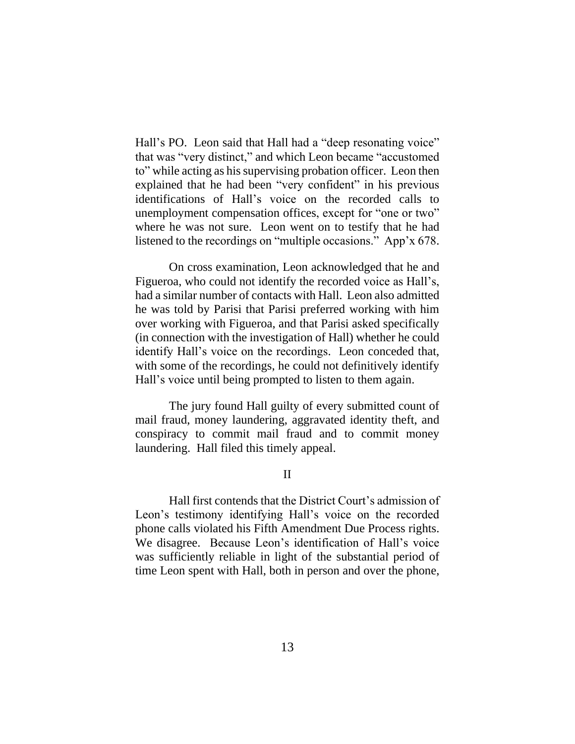Hall's PO. Leon said that Hall had a "deep resonating voice" that was "very distinct," and which Leon became "accustomed to" while acting as his supervising probation officer. Leon then explained that he had been "very confident" in his previous identifications of Hall's voice on the recorded calls to unemployment compensation offices, except for "one or two" where he was not sure. Leon went on to testify that he had listened to the recordings on "multiple occasions." App'x 678.

On cross examination, Leon acknowledged that he and Figueroa, who could not identify the recorded voice as Hall's, had a similar number of contacts with Hall. Leon also admitted he was told by Parisi that Parisi preferred working with him over working with Figueroa, and that Parisi asked specifically (in connection with the investigation of Hall) whether he could identify Hall's voice on the recordings. Leon conceded that, with some of the recordings, he could not definitively identify Hall's voice until being prompted to listen to them again.

The jury found Hall guilty of every submitted count of mail fraud, money laundering, aggravated identity theft, and conspiracy to commit mail fraud and to commit money laundering. Hall filed this timely appeal.

II

Hall first contends that the District Court's admission of Leon's testimony identifying Hall's voice on the recorded phone calls violated his Fifth Amendment Due Process rights. We disagree. Because Leon's identification of Hall's voice was sufficiently reliable in light of the substantial period of time Leon spent with Hall, both in person and over the phone,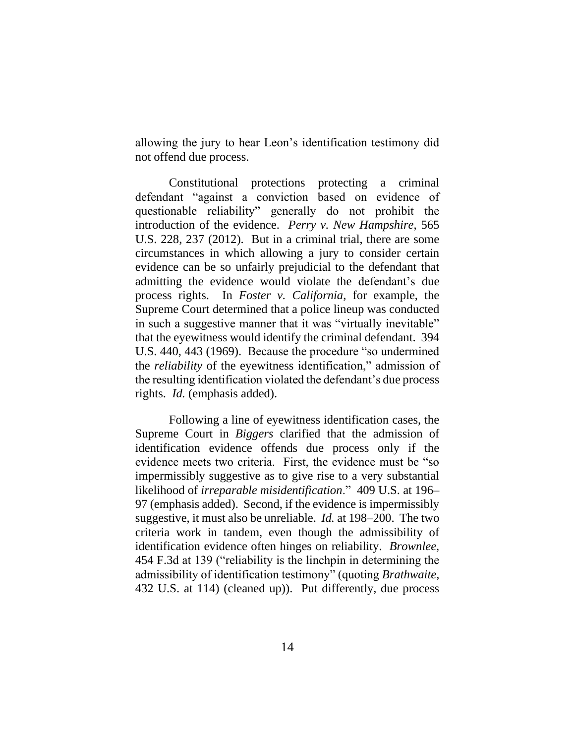allowing the jury to hear Leon's identification testimony did not offend due process.

Constitutional protections protecting a criminal defendant "against a conviction based on evidence of questionable reliability" generally do not prohibit the introduction of the evidence. *Perry v. New Hampshire*, 565 U.S. 228, 237 (2012). But in a criminal trial, there are some circumstances in which allowing a jury to consider certain evidence can be so unfairly prejudicial to the defendant that admitting the evidence would violate the defendant's due process rights. In *Foster v. California*, for example, the Supreme Court determined that a police lineup was conducted in such a suggestive manner that it was "virtually inevitable" that the eyewitness would identify the criminal defendant. 394 U.S. 440, 443 (1969). Because the procedure "so undermined the *reliability* of the eyewitness identification," admission of the resulting identification violated the defendant's due process rights. *Id.* (emphasis added).

Following a line of eyewitness identification cases, the Supreme Court in *Biggers* clarified that the admission of identification evidence offends due process only if the evidence meets two criteria. First, the evidence must be "so impermissibly suggestive as to give rise to a very substantial likelihood of *irreparable misidentification*." 409 U.S. at 196– 97 (emphasis added). Second, if the evidence is impermissibly suggestive, it must also be unreliable. *Id.* at 198–200. The two criteria work in tandem, even though the admissibility of identification evidence often hinges on reliability. *Brownlee*, 454 F.3d at 139 ("reliability is the linchpin in determining the admissibility of identification testimony" (quoting *Brathwaite*, 432 U.S. at 114) (cleaned up)). Put differently, due process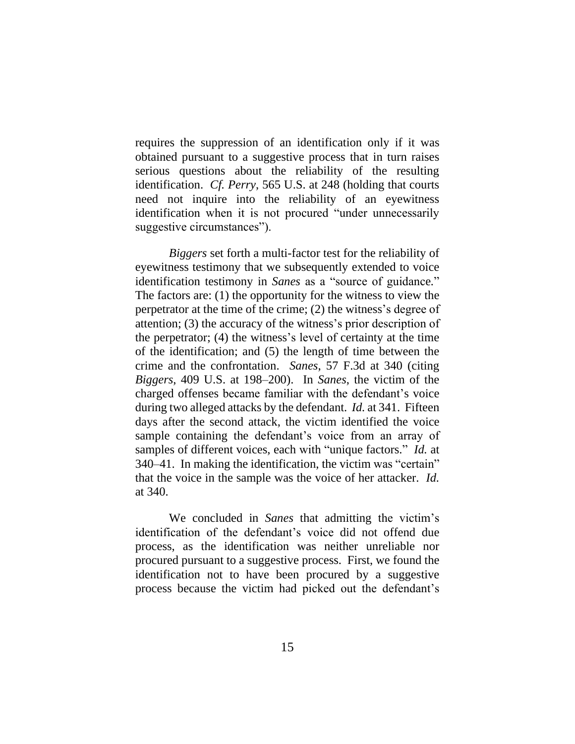requires the suppression of an identification only if it was obtained pursuant to a suggestive process that in turn raises serious questions about the reliability of the resulting identification. *Cf. Perry*, 565 U.S. at 248 (holding that courts need not inquire into the reliability of an eyewitness identification when it is not procured "under unnecessarily suggestive circumstances").

*Biggers* set forth a multi-factor test for the reliability of eyewitness testimony that we subsequently extended to voice identification testimony in *Sanes* as a "source of guidance*.*" The factors are: (1) the opportunity for the witness to view the perpetrator at the time of the crime; (2) the witness's degree of attention; (3) the accuracy of the witness's prior description of the perpetrator; (4) the witness's level of certainty at the time of the identification; and (5) the length of time between the crime and the confrontation. *Sanes*, 57 F.3d at 340 (citing *Biggers*, 409 U.S. at 198–200). In *Sanes*, the victim of the charged offenses became familiar with the defendant's voice during two alleged attacks by the defendant. *Id.* at 341. Fifteen days after the second attack, the victim identified the voice sample containing the defendant's voice from an array of samples of different voices, each with "unique factors." *Id.* at 340–41. In making the identification, the victim was "certain" that the voice in the sample was the voice of her attacker. *Id.*  at 340.

We concluded in *Sanes* that admitting the victim's identification of the defendant's voice did not offend due process, as the identification was neither unreliable nor procured pursuant to a suggestive process. First, we found the identification not to have been procured by a suggestive process because the victim had picked out the defendant's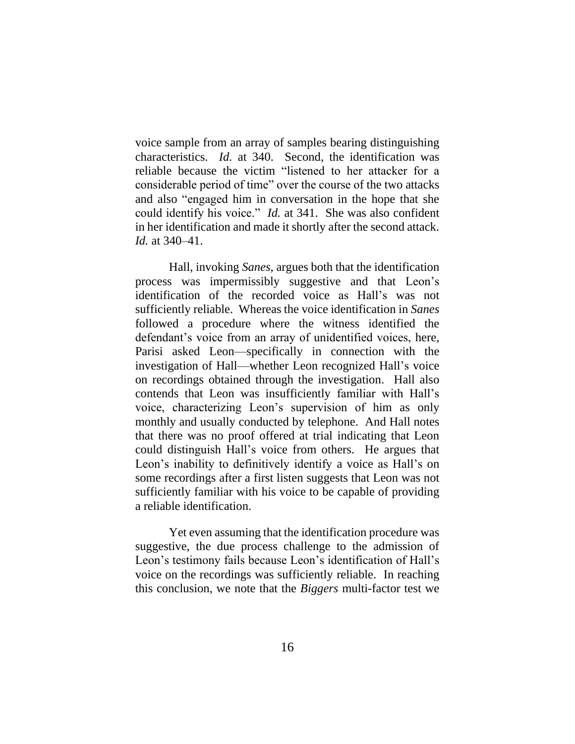voice sample from an array of samples bearing distinguishing characteristics. *Id.* at 340. Second, the identification was reliable because the victim "listened to her attacker for a considerable period of time" over the course of the two attacks and also "engaged him in conversation in the hope that she could identify his voice." *Id.* at 341. She was also confident in her identification and made it shortly after the second attack. *Id.* at 340–41.

Hall, invoking *Sanes*, argues both that the identification process was impermissibly suggestive and that Leon's identification of the recorded voice as Hall's was not sufficiently reliable. Whereas the voice identification in *Sanes*  followed a procedure where the witness identified the defendant's voice from an array of unidentified voices, here, Parisi asked Leon—specifically in connection with the investigation of Hall—whether Leon recognized Hall's voice on recordings obtained through the investigation. Hall also contends that Leon was insufficiently familiar with Hall's voice, characterizing Leon's supervision of him as only monthly and usually conducted by telephone. And Hall notes that there was no proof offered at trial indicating that Leon could distinguish Hall's voice from others. He argues that Leon's inability to definitively identify a voice as Hall's on some recordings after a first listen suggests that Leon was not sufficiently familiar with his voice to be capable of providing a reliable identification.

Yet even assuming that the identification procedure was suggestive, the due process challenge to the admission of Leon's testimony fails because Leon's identification of Hall's voice on the recordings was sufficiently reliable. In reaching this conclusion, we note that the *Biggers* multi-factor test we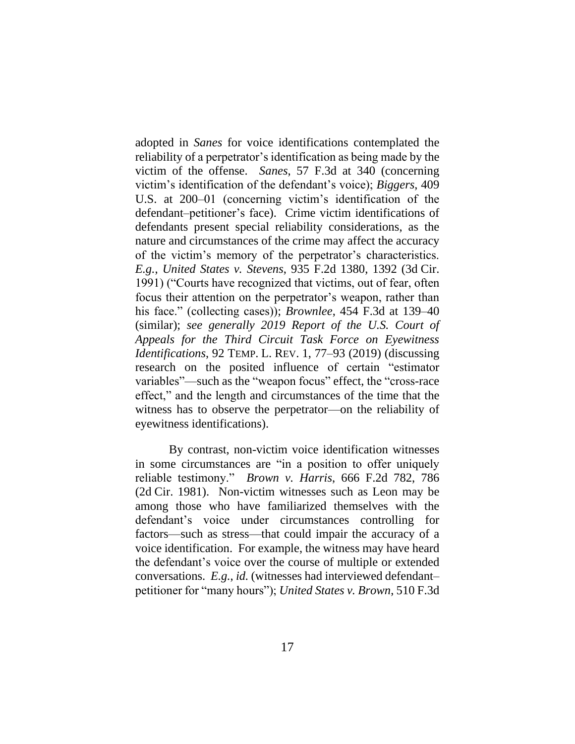adopted in *Sanes* for voice identifications contemplated the reliability of a perpetrator's identification as being made by the victim of the offense. *Sanes*, 57 F.3d at 340 (concerning victim's identification of the defendant's voice); *Biggers*, 409 U.S. at 200–01 (concerning victim's identification of the defendant–petitioner's face). Crime victim identifications of defendants present special reliability considerations, as the nature and circumstances of the crime may affect the accuracy of the victim's memory of the perpetrator's characteristics. *E.g.*, *United States v. Stevens*, 935 F.2d 1380, 1392 (3d Cir. 1991) ("Courts have recognized that victims, out of fear, often focus their attention on the perpetrator's weapon, rather than his face." (collecting cases)); *Brownlee*, 454 F.3d at 139–40 (similar); *see generally 2019 Report of the U.S. Court of Appeals for the Third Circuit Task Force on Eyewitness Identifications*, 92 TEMP. L. REV. 1, 77–93 (2019) (discussing research on the posited influence of certain "estimator variables"—such as the "weapon focus" effect, the "cross-race effect," and the length and circumstances of the time that the witness has to observe the perpetrator—on the reliability of eyewitness identifications).

By contrast, non-victim voice identification witnesses in some circumstances are "in a position to offer uniquely reliable testimony." *Brown v. Harris*, 666 F.2d 782, 786 (2d Cir. 1981). Non-victim witnesses such as Leon may be among those who have familiarized themselves with the defendant's voice under circumstances controlling for factors—such as stress—that could impair the accuracy of a voice identification. For example, the witness may have heard the defendant's voice over the course of multiple or extended conversations. *E.g.*, *id.* (witnesses had interviewed defendant– petitioner for "many hours"); *United States v. Brown*, 510 F.3d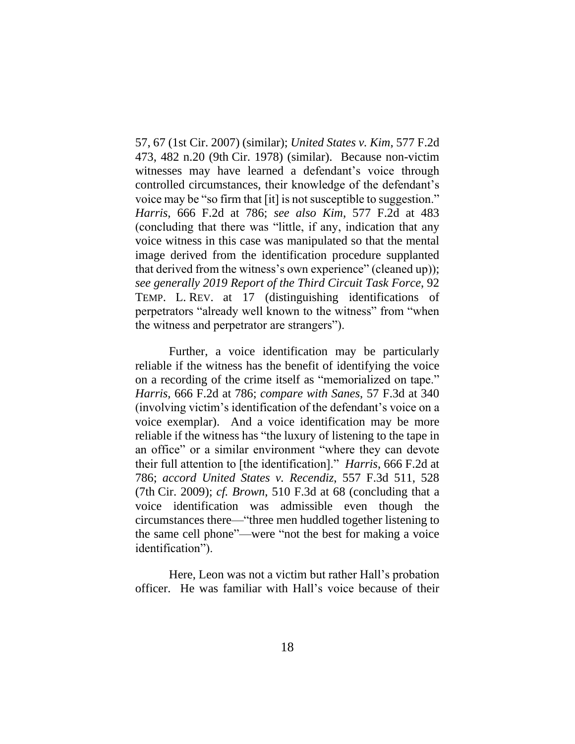57, 67 (1st Cir. 2007) (similar); *United States v. Kim*, 577 F.2d 473, 482 n.20 (9th Cir. 1978) (similar). Because non-victim witnesses may have learned a defendant's voice through controlled circumstances, their knowledge of the defendant's voice may be "so firm that [it] is not susceptible to suggestion." *Harris*, 666 F.2d at 786; *see also Kim*, 577 F.2d at 483 (concluding that there was "little, if any, indication that any voice witness in this case was manipulated so that the mental image derived from the identification procedure supplanted that derived from the witness's own experience" (cleaned up)); *see generally 2019 Report of the Third Circuit Task Force*, 92 TEMP. L. REV. at 17 (distinguishing identifications of perpetrators "already well known to the witness" from "when the witness and perpetrator are strangers").

Further, a voice identification may be particularly reliable if the witness has the benefit of identifying the voice on a recording of the crime itself as "memorialized on tape." *Harris*, 666 F.2d at 786; *compare with Sanes*, 57 F.3d at 340 (involving victim's identification of the defendant's voice on a voice exemplar). And a voice identification may be more reliable if the witness has "the luxury of listening to the tape in an office" or a similar environment "where they can devote their full attention to [the identification]." *Harris*, 666 F.2d at 786; *accord United States v. Recendiz*, 557 F.3d 511, 528 (7th Cir. 2009); *cf. Brown*, 510 F.3d at 68 (concluding that a voice identification was admissible even though the circumstances there—"three men huddled together listening to the same cell phone"—were "not the best for making a voice identification").

Here, Leon was not a victim but rather Hall's probation officer. He was familiar with Hall's voice because of their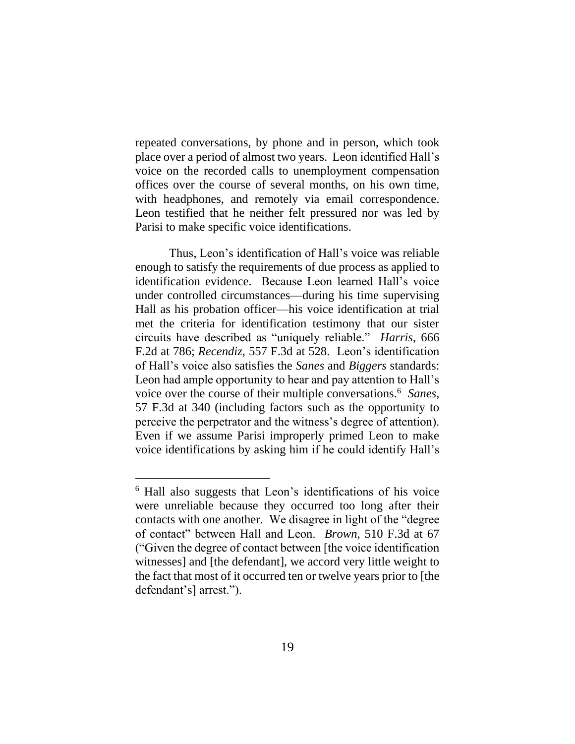repeated conversations, by phone and in person, which took place over a period of almost two years. Leon identified Hall's voice on the recorded calls to unemployment compensation offices over the course of several months, on his own time, with headphones, and remotely via email correspondence. Leon testified that he neither felt pressured nor was led by Parisi to make specific voice identifications.

Thus, Leon's identification of Hall's voice was reliable enough to satisfy the requirements of due process as applied to identification evidence. Because Leon learned Hall's voice under controlled circumstances—during his time supervising Hall as his probation officer—his voice identification at trial met the criteria for identification testimony that our sister circuits have described as "uniquely reliable." *Harris*, 666 F.2d at 786; *Recendiz*, 557 F.3d at 528. Leon's identification of Hall's voice also satisfies the *Sanes* and *Biggers* standards: Leon had ample opportunity to hear and pay attention to Hall's voice over the course of their multiple conversations.<sup>6</sup> *Sanes*, 57 F.3d at 340 (including factors such as the opportunity to perceive the perpetrator and the witness's degree of attention). Even if we assume Parisi improperly primed Leon to make voice identifications by asking him if he could identify Hall's

<sup>6</sup> Hall also suggests that Leon's identifications of his voice were unreliable because they occurred too long after their contacts with one another. We disagree in light of the "degree of contact" between Hall and Leon. *Brown*, 510 F.3d at 67 ("Given the degree of contact between [the voice identification witnesses] and [the defendant], we accord very little weight to the fact that most of it occurred ten or twelve years prior to [the defendant's] arrest.").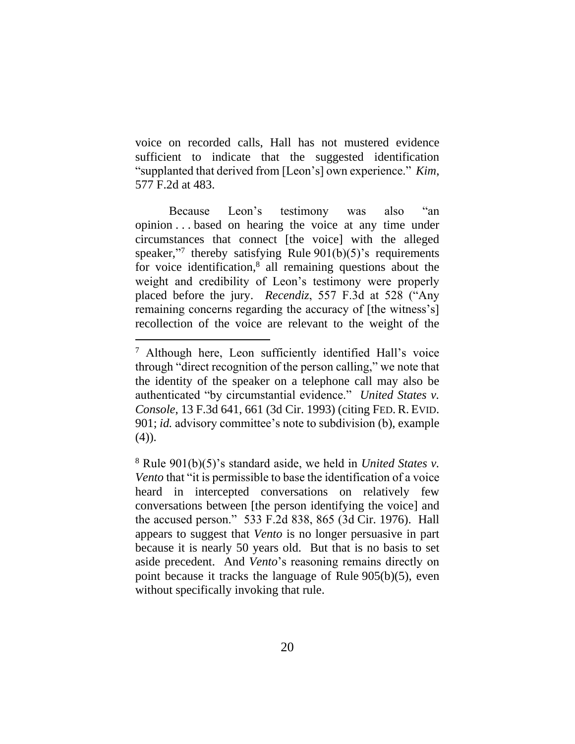voice on recorded calls, Hall has not mustered evidence sufficient to indicate that the suggested identification "supplanted that derived from [Leon's] own experience." *Kim*, 577 F.2d at 483.

Because Leon's testimony was also "an opinion . . . based on hearing the voice at any time under circumstances that connect [the voice] with the alleged speaker,"<sup>7</sup> thereby satisfying Rule 901(b)(5)'s requirements for voice identification,<sup>8</sup> all remaining questions about the weight and credibility of Leon's testimony were properly placed before the jury. *Recendiz*, 557 F.3d at 528 ("Any remaining concerns regarding the accuracy of [the witness's] recollection of the voice are relevant to the weight of the

<sup>7</sup> Although here, Leon sufficiently identified Hall's voice through "direct recognition of the person calling," we note that the identity of the speaker on a telephone call may also be authenticated "by circumstantial evidence." *United States v. Console*, 13 F.3d 641, 661 (3d Cir. 1993) (citing FED. R. EVID. 901; *id.* advisory committee's note to subdivision (b), example (4)).

<sup>8</sup> Rule 901(b)(5)'s standard aside, we held in *United States v. Vento* that "it is permissible to base the identification of a voice heard in intercepted conversations on relatively few conversations between [the person identifying the voice] and the accused person." 533 F.2d 838, 865 (3d Cir. 1976). Hall appears to suggest that *Vento* is no longer persuasive in part because it is nearly 50 years old. But that is no basis to set aside precedent. And *Vento*'s reasoning remains directly on point because it tracks the language of Rule 905(b)(5), even without specifically invoking that rule.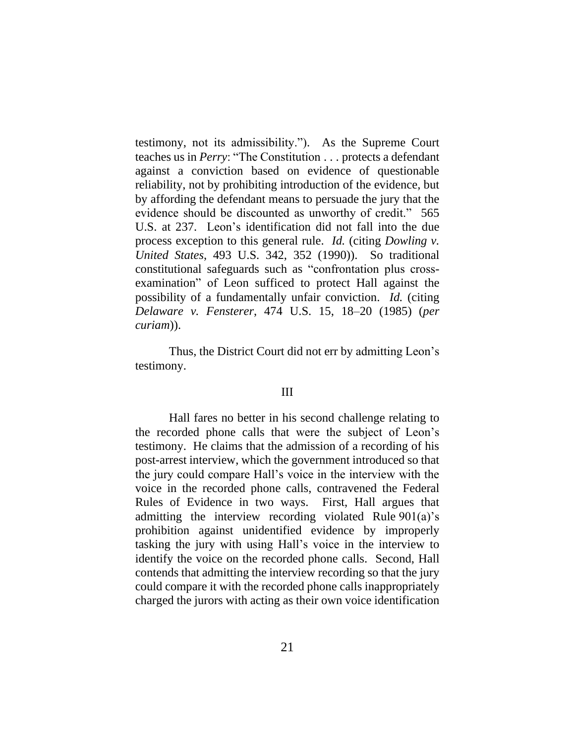testimony, not its admissibility."). As the Supreme Court teaches us in *Perry*: "The Constitution . . . protects a defendant against a conviction based on evidence of questionable reliability, not by prohibiting introduction of the evidence, but by affording the defendant means to persuade the jury that the evidence should be discounted as unworthy of credit." 565 U.S. at 237. Leon's identification did not fall into the due process exception to this general rule. *Id.* (citing *Dowling v. United States*, 493 U.S. 342, 352 (1990)). So traditional constitutional safeguards such as "confrontation plus crossexamination" of Leon sufficed to protect Hall against the possibility of a fundamentally unfair conviction. *Id.* (citing *Delaware v. Fensterer*, 474 U.S. 15, 18–20 (1985) (*per curiam*)).

Thus, the District Court did not err by admitting Leon's testimony.

#### III

Hall fares no better in his second challenge relating to the recorded phone calls that were the subject of Leon's testimony. He claims that the admission of a recording of his post-arrest interview, which the government introduced so that the jury could compare Hall's voice in the interview with the voice in the recorded phone calls, contravened the Federal Rules of Evidence in two ways. First, Hall argues that admitting the interview recording violated Rule 901(a)'s prohibition against unidentified evidence by improperly tasking the jury with using Hall's voice in the interview to identify the voice on the recorded phone calls. Second, Hall contends that admitting the interview recording so that the jury could compare it with the recorded phone calls inappropriately charged the jurors with acting as their own voice identification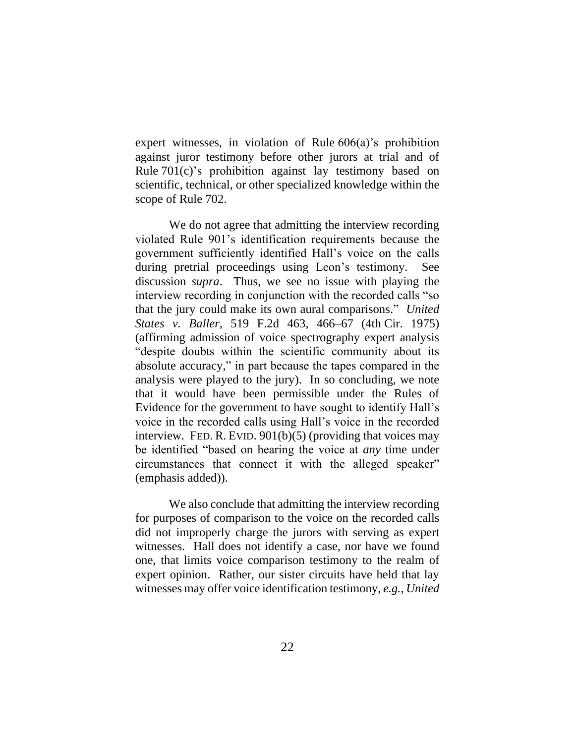expert witnesses, in violation of Rule 606(a)'s prohibition against juror testimony before other jurors at trial and of Rule 701(c)'s prohibition against lay testimony based on scientific, technical, or other specialized knowledge within the scope of Rule 702.

We do not agree that admitting the interview recording violated Rule 901's identification requirements because the government sufficiently identified Hall's voice on the calls during pretrial proceedings using Leon's testimony. See discussion *supra*. Thus, we see no issue with playing the interview recording in conjunction with the recorded calls "so that the jury could make its own aural comparisons." *United States v. Baller*, 519 F.2d 463, 466–67 (4th Cir. 1975) (affirming admission of voice spectrography expert analysis "despite doubts within the scientific community about its absolute accuracy," in part because the tapes compared in the analysis were played to the jury). In so concluding, we note that it would have been permissible under the Rules of Evidence for the government to have sought to identify Hall's voice in the recorded calls using Hall's voice in the recorded interview. FED. R. EVID. 901(b)(5) (providing that voices may be identified "based on hearing the voice at *any* time under circumstances that connect it with the alleged speaker" (emphasis added)).

We also conclude that admitting the interview recording for purposes of comparison to the voice on the recorded calls did not improperly charge the jurors with serving as expert witnesses. Hall does not identify a case, nor have we found one, that limits voice comparison testimony to the realm of expert opinion. Rather, our sister circuits have held that lay witnesses may offer voice identification testimony, *e.g.*, *United*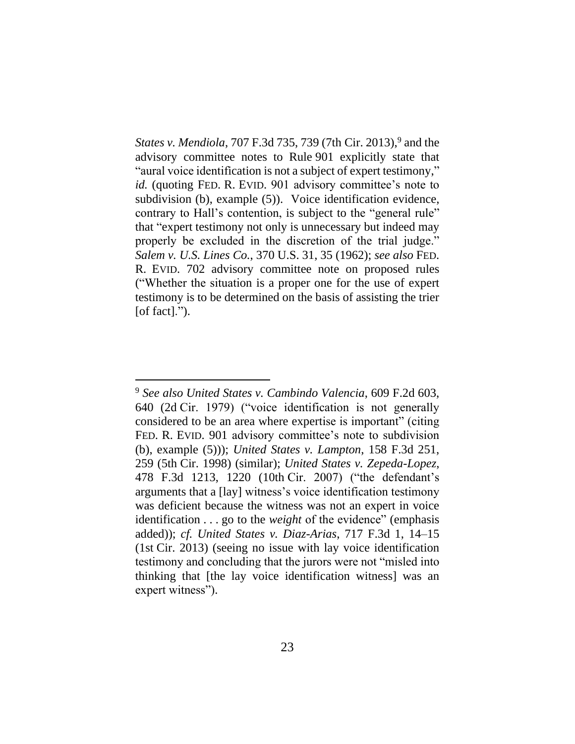States v. Mendiola, 707 F.3d 735, 739 (7th Cir. 2013),<sup>9</sup> and the advisory committee notes to Rule 901 explicitly state that "aural voice identification is not a subject of expert testimony," *id.* (quoting FED. R. EVID. 901 advisory committee's note to subdivision (b), example (5)). Voice identification evidence, contrary to Hall's contention, is subject to the "general rule" that "expert testimony not only is unnecessary but indeed may properly be excluded in the discretion of the trial judge." *Salem v. U.S. Lines Co.*, 370 U.S. 31, 35 (1962); *see also* FED. R. EVID. 702 advisory committee note on proposed rules ("Whether the situation is a proper one for the use of expert testimony is to be determined on the basis of assisting the trier [of fact].").

<sup>9</sup> *See also United States v. Cambindo Valencia*, 609 F.2d 603, 640 (2d Cir. 1979) ("voice identification is not generally considered to be an area where expertise is important" (citing FED. R. EVID. 901 advisory committee's note to subdivision (b), example (5))); *United States v. Lampton*, 158 F.3d 251, 259 (5th Cir. 1998) (similar); *United States v. Zepeda-Lopez*, 478 F.3d 1213, 1220 (10th Cir. 2007) ("the defendant's arguments that a [lay] witness's voice identification testimony was deficient because the witness was not an expert in voice identification . . . go to the *weight* of the evidence" (emphasis added)); *cf. United States v. Diaz-Arias*, 717 F.3d 1, 14–15 (1st Cir. 2013) (seeing no issue with lay voice identification testimony and concluding that the jurors were not "misled into thinking that [the lay voice identification witness] was an expert witness").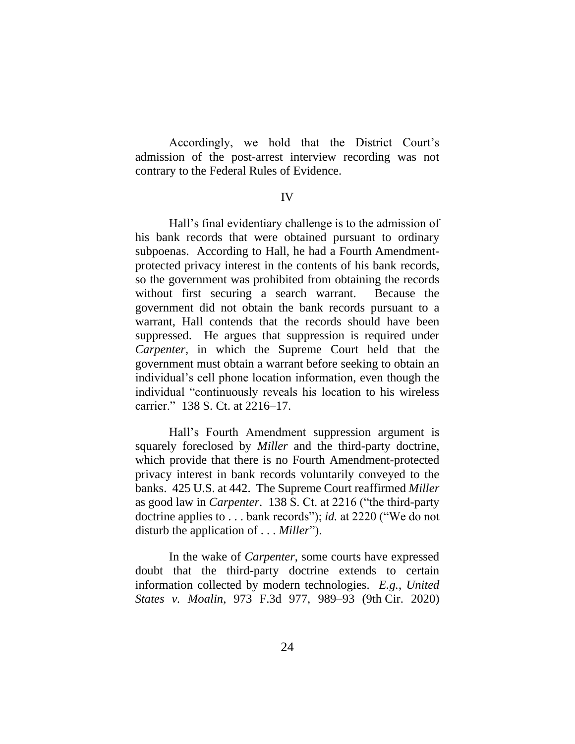Accordingly, we hold that the District Court's admission of the post-arrest interview recording was not contrary to the Federal Rules of Evidence.

#### IV

Hall's final evidentiary challenge is to the admission of his bank records that were obtained pursuant to ordinary subpoenas. According to Hall, he had a Fourth Amendmentprotected privacy interest in the contents of his bank records, so the government was prohibited from obtaining the records without first securing a search warrant. Because the government did not obtain the bank records pursuant to a warrant, Hall contends that the records should have been suppressed. He argues that suppression is required under *Carpenter*, in which the Supreme Court held that the government must obtain a warrant before seeking to obtain an individual's cell phone location information, even though the individual "continuously reveals his location to his wireless carrier." 138 S. Ct. at 2216–17.

Hall's Fourth Amendment suppression argument is squarely foreclosed by *Miller* and the third-party doctrine, which provide that there is no Fourth Amendment-protected privacy interest in bank records voluntarily conveyed to the banks. 425 U.S. at 442. The Supreme Court reaffirmed *Miller*  as good law in *Carpenter*. 138 S. Ct. at 2216 ("the third-party doctrine applies to . . . bank records"); *id.* at 2220 ("We do not disturb the application of . . . *Miller*").

In the wake of *Carpenter*, some courts have expressed doubt that the third-party doctrine extends to certain information collected by modern technologies. *E.g.*, *United States v. Moalin*, 973 F.3d 977, 989–93 (9th Cir. 2020)